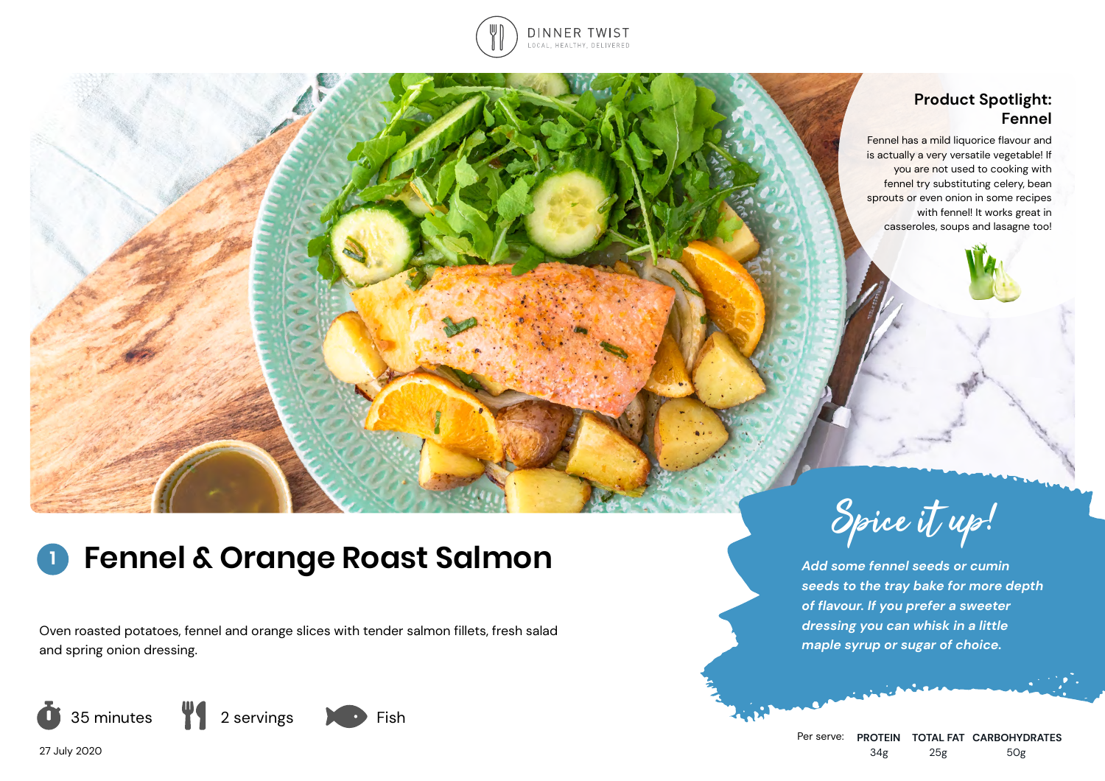

# **Product Spotlight: Fennel**

Fennel has a mild liquorice flavour and is actually a very versatile vegetable! If you are not used to cooking with fennel try substituting celery, bean sprouts or even onion in some recipes with fennel! It works great in casseroles, soups and lasagne too!

### **Fennel & Orange Roast Salmon 1**

Oven roasted potatoes, fennel and orange slices with tender salmon fillets, fresh salad and spring onion dressing.



Spice it up!

*Add some fennel seeds or cumin seeds to the tray bake for more depth of flavour. If you prefer a sweeter dressing you can whisk in a little maple syrup or sugar of choice.*